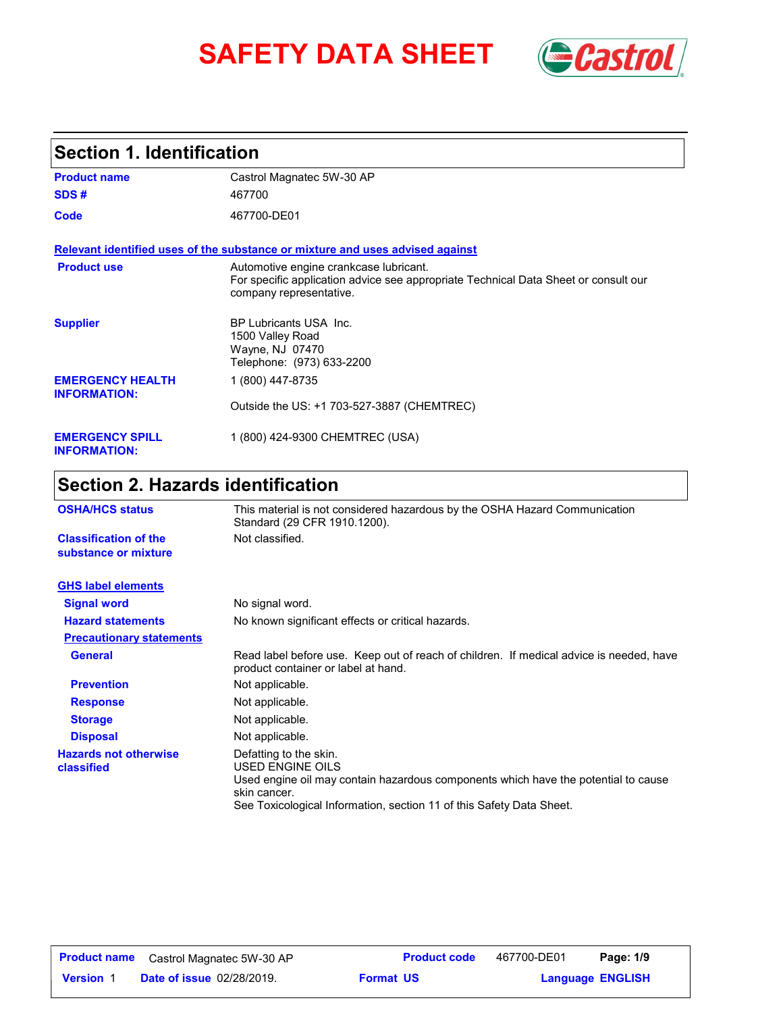# **SAFETY DATA SHEET** *Castrol*



### **Section 1. Identification**

| <b>Product name</b>                            | Castrol Magnatec 5W-30 AP                                                                                                                                |
|------------------------------------------------|----------------------------------------------------------------------------------------------------------------------------------------------------------|
| SDS#                                           | 467700                                                                                                                                                   |
| Code                                           | 467700-DE01                                                                                                                                              |
|                                                | Relevant identified uses of the substance or mixture and uses advised against                                                                            |
| <b>Product use</b>                             | Automotive engine crankcase lubricant.<br>For specific application advice see appropriate Technical Data Sheet or consult our<br>company representative. |
| <b>Supplier</b>                                | BP Lubricants USA Inc.<br>1500 Valley Road<br>Wayne, NJ 07470<br>Telephone: (973) 633-2200                                                               |
| <b>EMERGENCY HEALTH</b><br><b>INFORMATION:</b> | 1 (800) 447-8735                                                                                                                                         |
|                                                | Outside the US: +1 703-527-3887 (CHEMTREC)                                                                                                               |
| <b>EMERGENCY SPILL</b><br><b>INFORMATION:</b>  | 1 (800) 424-9300 CHEMTREC (USA)                                                                                                                          |

## **Section 2. Hazards identification**

| <b>OSHA/HCS status</b>                               | This material is not considered hazardous by the OSHA Hazard Communication<br>Standard (29 CFR 1910.1200).                                                                                                               |  |
|------------------------------------------------------|--------------------------------------------------------------------------------------------------------------------------------------------------------------------------------------------------------------------------|--|
| <b>Classification of the</b><br>substance or mixture | Not classified.                                                                                                                                                                                                          |  |
| <b>GHS label elements</b>                            |                                                                                                                                                                                                                          |  |
| <b>Signal word</b>                                   | No signal word.                                                                                                                                                                                                          |  |
| <b>Hazard statements</b>                             | No known significant effects or critical hazards.                                                                                                                                                                        |  |
| <b>Precautionary statements</b>                      |                                                                                                                                                                                                                          |  |
| <b>General</b>                                       | Read label before use. Keep out of reach of children. If medical advice is needed, have<br>product container or label at hand.                                                                                           |  |
| <b>Prevention</b>                                    | Not applicable.                                                                                                                                                                                                          |  |
| <b>Response</b>                                      | Not applicable.                                                                                                                                                                                                          |  |
| <b>Storage</b>                                       | Not applicable.                                                                                                                                                                                                          |  |
| <b>Disposal</b>                                      | Not applicable.                                                                                                                                                                                                          |  |
| <b>Hazards not otherwise</b><br>classified           | Defatting to the skin.<br>USED ENGINE OILS<br>Used engine oil may contain hazardous components which have the potential to cause<br>skin cancer.<br>See Toxicological Information, section 11 of this Safety Data Sheet. |  |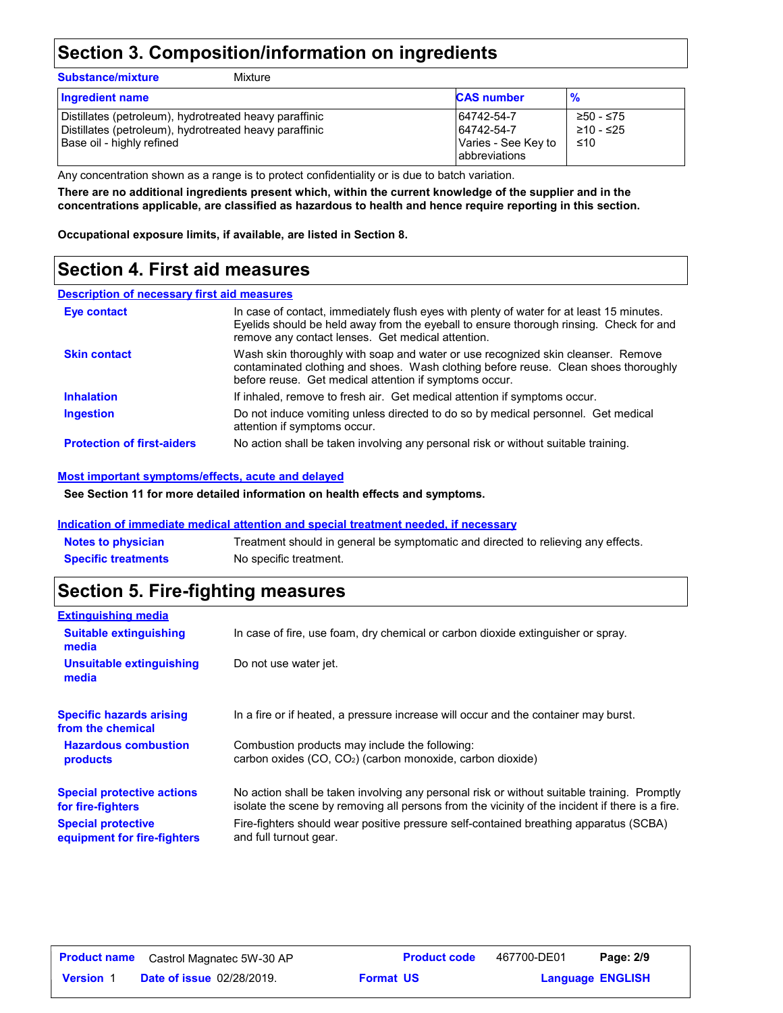### **Section 3. Composition/information on ingredients**

Mixture

|--|

| <b>Ingredient name</b>                                                                                                                          | <b>CAS number</b>                                                         | $\frac{9}{6}$                 |
|-------------------------------------------------------------------------------------------------------------------------------------------------|---------------------------------------------------------------------------|-------------------------------|
| Distillates (petroleum), hydrotreated heavy paraffinic<br>Distillates (petroleum), hydrotreated heavy paraffinic<br> Base oil - highly refined_ | 64742-54-7<br>64742-54-7<br>Varies - See Key to<br><b>l</b> abbreviations | ≥50 - ≤75<br>≥10 - ≤25<br>≤10 |

Any concentration shown as a range is to protect confidentiality or is due to batch variation.

**There are no additional ingredients present which, within the current knowledge of the supplier and in the concentrations applicable, are classified as hazardous to health and hence require reporting in this section.**

**Occupational exposure limits, if available, are listed in Section 8.**

### **Section 4. First aid measures**

#### **Description of necessary first aid measures**

| <b>Eye contact</b>                | In case of contact, immediately flush eyes with plenty of water for at least 15 minutes.<br>Eyelids should be held away from the eyeball to ensure thorough rinsing. Check for and<br>remove any contact lenses. Get medical attention. |
|-----------------------------------|-----------------------------------------------------------------------------------------------------------------------------------------------------------------------------------------------------------------------------------------|
| <b>Skin contact</b>               | Wash skin thoroughly with soap and water or use recognized skin cleanser. Remove<br>contaminated clothing and shoes. Wash clothing before reuse. Clean shoes thoroughly<br>before reuse. Get medical attention if symptoms occur.       |
| <b>Inhalation</b>                 | If inhaled, remove to fresh air. Get medical attention if symptoms occur.                                                                                                                                                               |
| <b>Ingestion</b>                  | Do not induce vomiting unless directed to do so by medical personnel. Get medical<br>attention if symptoms occur.                                                                                                                       |
| <b>Protection of first-aiders</b> | No action shall be taken involving any personal risk or without suitable training.                                                                                                                                                      |

#### **Most important symptoms/effects, acute and delayed**

**See Section 11 for more detailed information on health effects and symptoms.**

#### **Indication of immediate medical attention and special treatment needed, if necessary**

| <b>Notes to physician</b>  | Treatment should in general be symptomatic and directed to relieving any effects. |
|----------------------------|-----------------------------------------------------------------------------------|
| <b>Specific treatments</b> | No specific treatment.                                                            |

### **Section 5. Fire-fighting measures**

| <b>Extinguishing media</b>                               |                                                                                                                                                                                                |
|----------------------------------------------------------|------------------------------------------------------------------------------------------------------------------------------------------------------------------------------------------------|
| <b>Suitable extinguishing</b><br>media                   | In case of fire, use foam, dry chemical or carbon dioxide extinguisher or spray.                                                                                                               |
| Unsuitable extinguishing<br>media                        | Do not use water jet.                                                                                                                                                                          |
| <b>Specific hazards arising</b><br>from the chemical     | In a fire or if heated, a pressure increase will occur and the container may burst.                                                                                                            |
| <b>Hazardous combustion</b><br>products                  | Combustion products may include the following:<br>carbon oxides (CO, CO <sub>2</sub> ) (carbon monoxide, carbon dioxide)                                                                       |
| <b>Special protective actions</b><br>for fire-fighters   | No action shall be taken involving any personal risk or without suitable training. Promptly<br>isolate the scene by removing all persons from the vicinity of the incident if there is a fire. |
| <b>Special protective</b><br>equipment for fire-fighters | Fire-fighters should wear positive pressure self-contained breathing apparatus (SCBA)<br>and full turnout gear.                                                                                |
|                                                          |                                                                                                                                                                                                |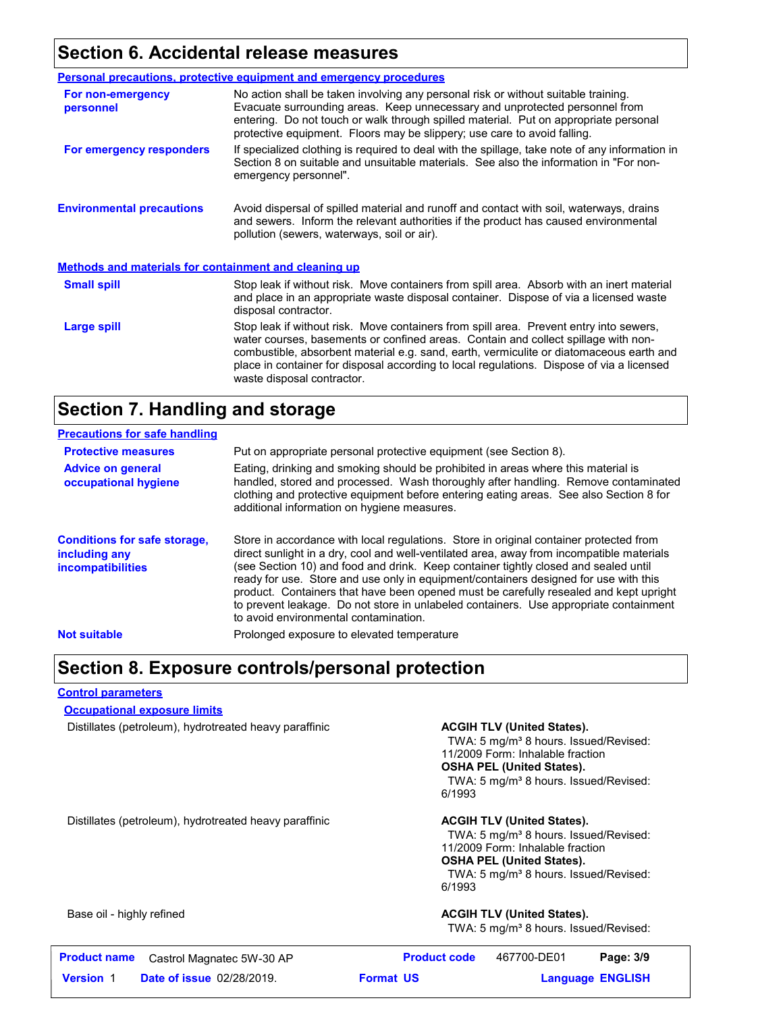### **Section 6. Accidental release measures**

|                                                              | <b>Personal precautions, protective equipment and emergency procedures</b>                                                                                                                                                                                                                                                                                                                         |  |
|--------------------------------------------------------------|----------------------------------------------------------------------------------------------------------------------------------------------------------------------------------------------------------------------------------------------------------------------------------------------------------------------------------------------------------------------------------------------------|--|
| For non-emergency<br>personnel                               | No action shall be taken involving any personal risk or without suitable training.<br>Evacuate surrounding areas. Keep unnecessary and unprotected personnel from<br>entering. Do not touch or walk through spilled material. Put on appropriate personal<br>protective equipment. Floors may be slippery; use care to avoid falling.                                                              |  |
| For emergency responders                                     | If specialized clothing is required to deal with the spillage, take note of any information in<br>Section 8 on suitable and unsuitable materials. See also the information in "For non-<br>emergency personnel".                                                                                                                                                                                   |  |
| <b>Environmental precautions</b>                             | Avoid dispersal of spilled material and runoff and contact with soil, waterways, drains<br>and sewers. Inform the relevant authorities if the product has caused environmental<br>pollution (sewers, waterways, soil or air).                                                                                                                                                                      |  |
| <b>Methods and materials for containment and cleaning up</b> |                                                                                                                                                                                                                                                                                                                                                                                                    |  |
| <b>Small spill</b>                                           | Stop leak if without risk. Move containers from spill area. Absorb with an inert material<br>and place in an appropriate waste disposal container. Dispose of via a licensed waste<br>disposal contractor.                                                                                                                                                                                         |  |
| Large spill                                                  | Stop leak if without risk. Move containers from spill area. Prevent entry into sewers,<br>water courses, basements or confined areas. Contain and collect spillage with non-<br>combustible, absorbent material e.g. sand, earth, vermiculite or diatomaceous earth and<br>place in container for disposal according to local regulations. Dispose of via a licensed<br>waste disposal contractor. |  |

### **Section 7. Handling and storage**

| <b>Precautions for safe handling</b>                                             |                                                                                                                                                                                                                                                                                                                                                                                                                                                                                                                                                                                               |
|----------------------------------------------------------------------------------|-----------------------------------------------------------------------------------------------------------------------------------------------------------------------------------------------------------------------------------------------------------------------------------------------------------------------------------------------------------------------------------------------------------------------------------------------------------------------------------------------------------------------------------------------------------------------------------------------|
| <b>Protective measures</b>                                                       | Put on appropriate personal protective equipment (see Section 8).                                                                                                                                                                                                                                                                                                                                                                                                                                                                                                                             |
| <b>Advice on general</b><br>occupational hygiene                                 | Eating, drinking and smoking should be prohibited in areas where this material is<br>handled, stored and processed. Wash thoroughly after handling. Remove contaminated<br>clothing and protective equipment before entering eating areas. See also Section 8 for<br>additional information on hygiene measures.                                                                                                                                                                                                                                                                              |
| <b>Conditions for safe storage,</b><br>including any<br><i>incompatibilities</i> | Store in accordance with local regulations. Store in original container protected from<br>direct sunlight in a dry, cool and well-ventilated area, away from incompatible materials<br>(see Section 10) and food and drink. Keep container tightly closed and sealed until<br>ready for use. Store and use only in equipment/containers designed for use with this<br>product. Containers that have been opened must be carefully resealed and kept upright<br>to prevent leakage. Do not store in unlabeled containers. Use appropriate containment<br>to avoid environmental contamination. |
| <b>Not suitable</b>                                                              | Prolonged exposure to elevated temperature                                                                                                                                                                                                                                                                                                                                                                                                                                                                                                                                                    |

### **Section 8. Exposure controls/personal protection**

#### **Control parameters**

**Occupational exposure limits**

Distillates (petroleum), hydrotreated heavy paraffinic **ACGIH TLV (United States).** 

TWA: 5 mg/m<sup>3</sup> 8 hours. Issued/Revised: 11/2009 Form: Inhalable fraction **OSHA PEL (United States).** TWA: 5 mg/m<sup>3</sup> 8 hours. Issued/Revised: 6/1993

Distillates (petroleum), hydrotreated heavy paraffinic **ACGIH TLV (United States).**

TWA: 5 mg/m<sup>3</sup> 8 hours. Issued/Revised: 11/2009 Form: Inhalable fraction **OSHA PEL (United States).** TWA: 5 mg/m<sup>3</sup> 8 hours. Issued/Revised: 6/1993

#### Base oil - highly refined **ACGIH TLV (United States). ACGIH TLV (United States).**

TWA: 5 mg/m<sup>3</sup> 8 hours. Issued/Revised:

|                  | <b>Product name</b> Castrol Magnatec 5W-30 AP | <b>Product code</b> | 467700-DE01 | Page: 3/9               |
|------------------|-----------------------------------------------|---------------------|-------------|-------------------------|
| <b>Version 1</b> | <b>Date of issue 02/28/2019.</b>              | <b>Format US</b>    |             | <b>Language ENGLISH</b> |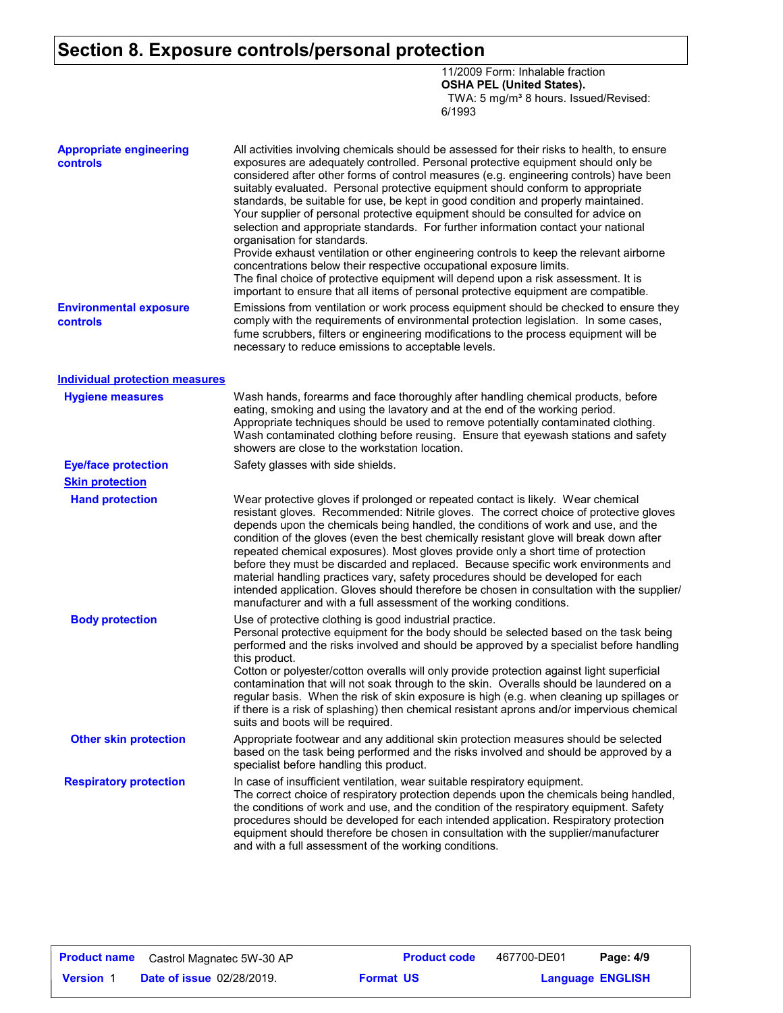### **Section 8. Exposure controls/personal protection**

11/2009 Form: Inhalable fraction **OSHA PEL (United States).** TWA: 5 mg/m<sup>3</sup> 8 hours. Issued/Revised: 6/1993

| <b>Appropriate engineering</b><br>controls | All activities involving chemicals should be assessed for their risks to health, to ensure<br>exposures are adequately controlled. Personal protective equipment should only be<br>considered after other forms of control measures (e.g. engineering controls) have been<br>suitably evaluated. Personal protective equipment should conform to appropriate<br>standards, be suitable for use, be kept in good condition and properly maintained.<br>Your supplier of personal protective equipment should be consulted for advice on<br>selection and appropriate standards. For further information contact your national<br>organisation for standards.<br>Provide exhaust ventilation or other engineering controls to keep the relevant airborne<br>concentrations below their respective occupational exposure limits.<br>The final choice of protective equipment will depend upon a risk assessment. It is<br>important to ensure that all items of personal protective equipment are compatible. |
|--------------------------------------------|------------------------------------------------------------------------------------------------------------------------------------------------------------------------------------------------------------------------------------------------------------------------------------------------------------------------------------------------------------------------------------------------------------------------------------------------------------------------------------------------------------------------------------------------------------------------------------------------------------------------------------------------------------------------------------------------------------------------------------------------------------------------------------------------------------------------------------------------------------------------------------------------------------------------------------------------------------------------------------------------------------|
| <b>Environmental exposure</b><br>controls  | Emissions from ventilation or work process equipment should be checked to ensure they<br>comply with the requirements of environmental protection legislation. In some cases,<br>fume scrubbers, filters or engineering modifications to the process equipment will be<br>necessary to reduce emissions to acceptable levels.                                                                                                                                                                                                                                                                                                                                                                                                                                                                                                                                                                                                                                                                              |
| <b>Individual protection measures</b>      |                                                                                                                                                                                                                                                                                                                                                                                                                                                                                                                                                                                                                                                                                                                                                                                                                                                                                                                                                                                                            |
| <b>Hygiene measures</b>                    | Wash hands, forearms and face thoroughly after handling chemical products, before<br>eating, smoking and using the lavatory and at the end of the working period.<br>Appropriate techniques should be used to remove potentially contaminated clothing.<br>Wash contaminated clothing before reusing. Ensure that eyewash stations and safety<br>showers are close to the workstation location.                                                                                                                                                                                                                                                                                                                                                                                                                                                                                                                                                                                                            |
| <b>Eye/face protection</b>                 | Safety glasses with side shields.                                                                                                                                                                                                                                                                                                                                                                                                                                                                                                                                                                                                                                                                                                                                                                                                                                                                                                                                                                          |
| <b>Skin protection</b>                     |                                                                                                                                                                                                                                                                                                                                                                                                                                                                                                                                                                                                                                                                                                                                                                                                                                                                                                                                                                                                            |
| <b>Hand protection</b>                     | Wear protective gloves if prolonged or repeated contact is likely. Wear chemical<br>resistant gloves. Recommended: Nitrile gloves. The correct choice of protective gloves<br>depends upon the chemicals being handled, the conditions of work and use, and the<br>condition of the gloves (even the best chemically resistant glove will break down after<br>repeated chemical exposures). Most gloves provide only a short time of protection<br>before they must be discarded and replaced. Because specific work environments and<br>material handling practices vary, safety procedures should be developed for each<br>intended application. Gloves should therefore be chosen in consultation with the supplier/<br>manufacturer and with a full assessment of the working conditions.                                                                                                                                                                                                              |
| <b>Body protection</b>                     | Use of protective clothing is good industrial practice.<br>Personal protective equipment for the body should be selected based on the task being<br>performed and the risks involved and should be approved by a specialist before handling<br>this product.<br>Cotton or polyester/cotton overalls will only provide protection against light superficial<br>contamination that will not soak through to the skin. Overalls should be laundered on a<br>regular basis. When the risk of skin exposure is high (e.g. when cleaning up spillages or<br>if there is a risk of splashing) then chemical resistant aprons and/or impervious chemical<br>suits and boots will be required.                                                                                                                                                                                                                                                                                                                      |
| <b>Other skin protection</b>               | Appropriate footwear and any additional skin protection measures should be selected<br>based on the task being performed and the risks involved and should be approved by a<br>specialist before handling this product.                                                                                                                                                                                                                                                                                                                                                                                                                                                                                                                                                                                                                                                                                                                                                                                    |
| <b>Respiratory protection</b>              | In case of insufficient ventilation, wear suitable respiratory equipment.<br>The correct choice of respiratory protection depends upon the chemicals being handled,<br>the conditions of work and use, and the condition of the respiratory equipment. Safety<br>procedures should be developed for each intended application. Respiratory protection<br>equipment should therefore be chosen in consultation with the supplier/manufacturer<br>and with a full assessment of the working conditions.                                                                                                                                                                                                                                                                                                                                                                                                                                                                                                      |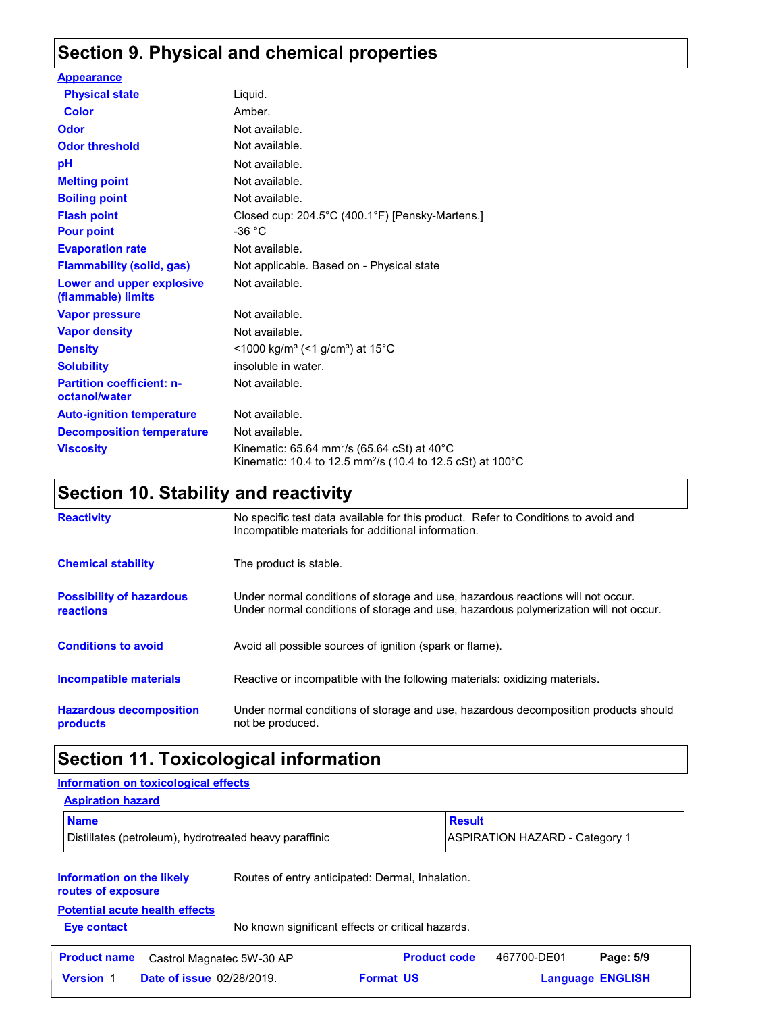### **Section 9. Physical and chemical properties**

| <b>Appearance</b>                                 |                                                                                                                                              |
|---------------------------------------------------|----------------------------------------------------------------------------------------------------------------------------------------------|
| <b>Physical state</b>                             | Liquid.                                                                                                                                      |
| Color                                             | Amber.                                                                                                                                       |
| <b>Odor</b>                                       | Not available.                                                                                                                               |
| <b>Odor threshold</b>                             | Not available.                                                                                                                               |
| pH                                                | Not available.                                                                                                                               |
| <b>Melting point</b>                              | Not available.                                                                                                                               |
| <b>Boiling point</b>                              | Not available.                                                                                                                               |
| <b>Flash point</b>                                | Closed cup: 204.5°C (400.1°F) [Pensky-Martens.]                                                                                              |
| <b>Pour point</b>                                 | -36 $^{\circ}$ C                                                                                                                             |
| <b>Evaporation rate</b>                           | Not available.                                                                                                                               |
| <b>Flammability (solid, gas)</b>                  | Not applicable. Based on - Physical state                                                                                                    |
| Lower and upper explosive<br>(flammable) limits   | Not available.                                                                                                                               |
| <b>Vapor pressure</b>                             | Not available.                                                                                                                               |
| <b>Vapor density</b>                              | Not available.                                                                                                                               |
| <b>Density</b>                                    | <1000 kg/m <sup>3</sup> (<1 g/cm <sup>3</sup> ) at 15 <sup>°</sup> C                                                                         |
| <b>Solubility</b>                                 | insoluble in water.                                                                                                                          |
| <b>Partition coefficient: n-</b><br>octanol/water | Not available.                                                                                                                               |
| <b>Auto-ignition temperature</b>                  | Not available.                                                                                                                               |
| <b>Decomposition temperature</b>                  | Not available.                                                                                                                               |
| <b>Viscosity</b>                                  | Kinematic: 65.64 mm <sup>2</sup> /s (65.64 cSt) at 40 $^{\circ}$ C<br>Kinematic: 10.4 to 12.5 mm <sup>2</sup> /s (10.4 to 12.5 cSt) at 100°C |

### **Section 10. Stability and reactivity**

| <b>Reactivity</b>                            | No specific test data available for this product. Refer to Conditions to avoid and<br>Incompatible materials for additional information.                                |
|----------------------------------------------|-------------------------------------------------------------------------------------------------------------------------------------------------------------------------|
| <b>Chemical stability</b>                    | The product is stable.                                                                                                                                                  |
| <b>Possibility of hazardous</b><br>reactions | Under normal conditions of storage and use, hazardous reactions will not occur.<br>Under normal conditions of storage and use, hazardous polymerization will not occur. |
| <b>Conditions to avoid</b>                   | Avoid all possible sources of ignition (spark or flame).                                                                                                                |
| Incompatible materials                       | Reactive or incompatible with the following materials: oxidizing materials.                                                                                             |
| <b>Hazardous decomposition</b><br>products   | Under normal conditions of storage and use, hazardous decomposition products should<br>not be produced.                                                                 |

### **Section 11. Toxicological information**

### **Information on the likely routes of exposure Eye contact** No known significant effects or critical hazards. **Aspiration hazard Name Result** Distillates (petroleum), hydrotreated heavy paraffinic <br>
ASPIRATION HAZARD - Category 1 Routes of entry anticipated: Dermal, Inhalation. **Potential acute health effects Information on toxicological effects Date of issue** 02/28/2019. **Version** 1 **Format Language Product name** Castrol Magnatec 5W-30 AP **Product code** 467700-DE01 **Page: 5/9 Language ENGLISH** 467700-DE01 **Format US**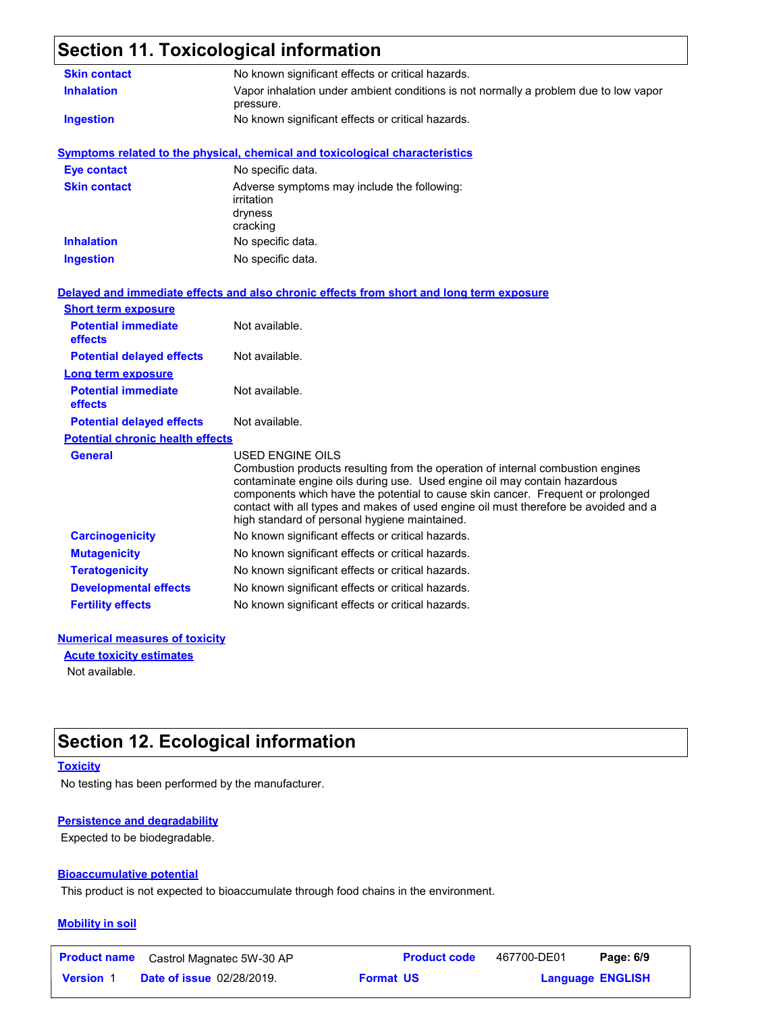## **Section 11. Toxicological information**

| <b>Skin contact</b>                     | No known significant effects or critical hazards.                                                                                                                                                                                                                                                                                                                                                                  |  |  |  |
|-----------------------------------------|--------------------------------------------------------------------------------------------------------------------------------------------------------------------------------------------------------------------------------------------------------------------------------------------------------------------------------------------------------------------------------------------------------------------|--|--|--|
| <b>Inhalation</b>                       | Vapor inhalation under ambient conditions is not normally a problem due to low vapor<br>pressure.                                                                                                                                                                                                                                                                                                                  |  |  |  |
| <b>Ingestion</b>                        | No known significant effects or critical hazards.                                                                                                                                                                                                                                                                                                                                                                  |  |  |  |
|                                         | <b>Symptoms related to the physical, chemical and toxicological characteristics</b>                                                                                                                                                                                                                                                                                                                                |  |  |  |
| <b>Eye contact</b>                      | No specific data.                                                                                                                                                                                                                                                                                                                                                                                                  |  |  |  |
| <b>Skin contact</b>                     | Adverse symptoms may include the following:<br>irritation<br>dryness<br>cracking                                                                                                                                                                                                                                                                                                                                   |  |  |  |
| <b>Inhalation</b>                       | No specific data.                                                                                                                                                                                                                                                                                                                                                                                                  |  |  |  |
| <b>Ingestion</b>                        | No specific data.                                                                                                                                                                                                                                                                                                                                                                                                  |  |  |  |
|                                         | Delayed and immediate effects and also chronic effects from short and long term exposure                                                                                                                                                                                                                                                                                                                           |  |  |  |
| <b>Short term exposure</b>              |                                                                                                                                                                                                                                                                                                                                                                                                                    |  |  |  |
| <b>Potential immediate</b><br>effects   | Not available.                                                                                                                                                                                                                                                                                                                                                                                                     |  |  |  |
| <b>Potential delayed effects</b>        | Not available.                                                                                                                                                                                                                                                                                                                                                                                                     |  |  |  |
| <b>Long term exposure</b>               |                                                                                                                                                                                                                                                                                                                                                                                                                    |  |  |  |
| <b>Potential immediate</b><br>effects   | Not available.                                                                                                                                                                                                                                                                                                                                                                                                     |  |  |  |
| <b>Potential delayed effects</b>        | Not available.                                                                                                                                                                                                                                                                                                                                                                                                     |  |  |  |
| <b>Potential chronic health effects</b> |                                                                                                                                                                                                                                                                                                                                                                                                                    |  |  |  |
| <b>General</b>                          | <b>USED ENGINE OILS</b><br>Combustion products resulting from the operation of internal combustion engines<br>contaminate engine oils during use. Used engine oil may contain hazardous<br>components which have the potential to cause skin cancer. Frequent or prolonged<br>contact with all types and makes of used engine oil must therefore be avoided and a<br>high standard of personal hygiene maintained. |  |  |  |
| <b>Carcinogenicity</b>                  | No known significant effects or critical hazards.                                                                                                                                                                                                                                                                                                                                                                  |  |  |  |
| <b>Mutagenicity</b>                     | No known significant effects or critical hazards.                                                                                                                                                                                                                                                                                                                                                                  |  |  |  |
| <b>Teratogenicity</b>                   | No known significant effects or critical hazards.                                                                                                                                                                                                                                                                                                                                                                  |  |  |  |
| <b>Developmental effects</b>            | No known significant effects or critical hazards.                                                                                                                                                                                                                                                                                                                                                                  |  |  |  |
| <b>Fertility effects</b>                | No known significant effects or critical hazards.                                                                                                                                                                                                                                                                                                                                                                  |  |  |  |
| Numawiaal maaaaruga of taylaltu         |                                                                                                                                                                                                                                                                                                                                                                                                                    |  |  |  |

#### **Numerical measures of toxicity**

**Acute toxicity estimates**

Not available.

### **Section 12. Ecological information**

**Toxicity**

No testing has been performed by the manufacturer.

#### **Persistence and degradability**

Expected to be biodegradable.

#### **Bioaccumulative potential**

This product is not expected to bioaccumulate through food chains in the environment.

#### **Mobility in soil**

| <b>Product name</b> | Castrol Magnatec 5W-30 AP        |                  | <b>Product code</b> | 467700-DE01 | Page: 6/9               |  |
|---------------------|----------------------------------|------------------|---------------------|-------------|-------------------------|--|
| <b>Version 1</b>    | <b>Date of issue 02/28/2019.</b> | <b>Format US</b> |                     |             | <b>Language ENGLISH</b> |  |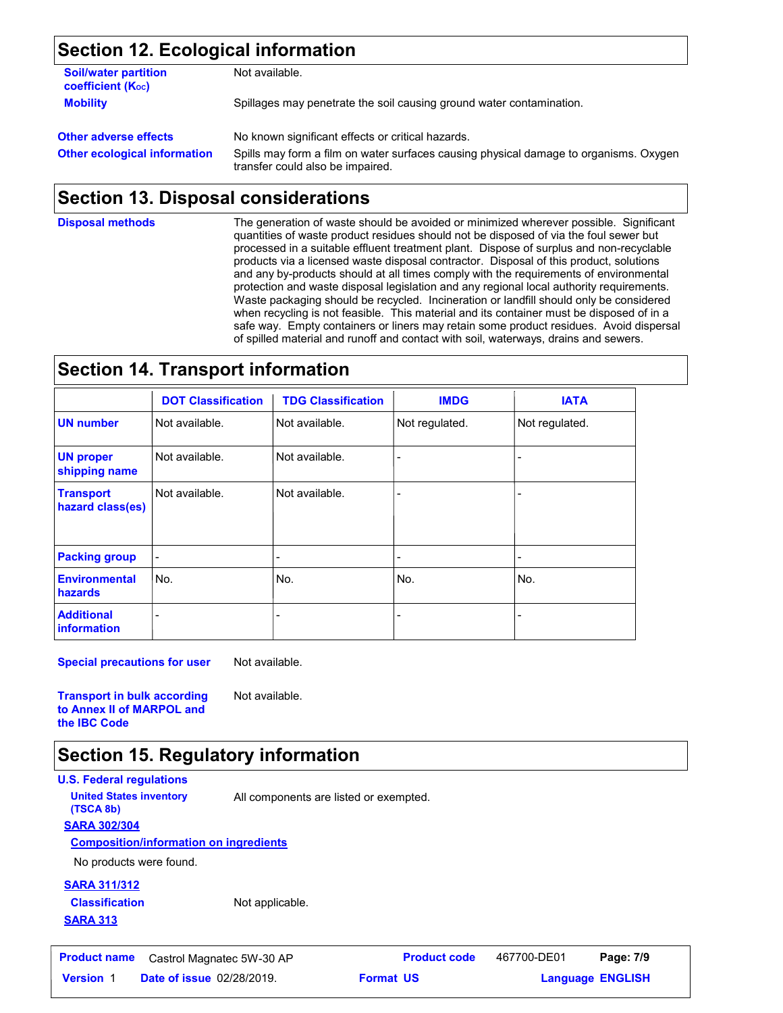### **Section 12. Ecological information**

| <b>Soil/water partition</b><br>coefficient (K <sub>oc</sub> ) | Not available.                                                                                                            |  |  |  |
|---------------------------------------------------------------|---------------------------------------------------------------------------------------------------------------------------|--|--|--|
| <b>Mobility</b>                                               | Spillages may penetrate the soil causing ground water contamination.                                                      |  |  |  |
| <b>Other adverse effects</b>                                  | No known significant effects or critical hazards.                                                                         |  |  |  |
| <b>Other ecological information</b>                           | Spills may form a film on water surfaces causing physical damage to organisms. Oxygen<br>transfer could also be impaired. |  |  |  |

### **Section 13. Disposal considerations**

**Disposal methods**

The generation of waste should be avoided or minimized wherever possible. Significant quantities of waste product residues should not be disposed of via the foul sewer but processed in a suitable effluent treatment plant. Dispose of surplus and non-recyclable products via a licensed waste disposal contractor. Disposal of this product, solutions and any by-products should at all times comply with the requirements of environmental protection and waste disposal legislation and any regional local authority requirements. Waste packaging should be recycled. Incineration or landfill should only be considered when recycling is not feasible. This material and its container must be disposed of in a safe way. Empty containers or liners may retain some product residues. Avoid dispersal of spilled material and runoff and contact with soil, waterways, drains and sewers.

### **Section 14. Transport information**

|                                      | <b>DOT Classification</b> | <b>TDG Classification</b> | <b>IMDG</b>    | <b>IATA</b>    |
|--------------------------------------|---------------------------|---------------------------|----------------|----------------|
| <b>UN</b> number                     | Not available.            | Not available.            | Not regulated. | Not regulated. |
| <b>UN proper</b><br>shipping name    | Not available.            | Not available.            |                |                |
| <b>Transport</b><br>hazard class(es) | Not available.            | Not available.            |                |                |
| <b>Packing group</b>                 |                           | $\overline{\phantom{0}}$  |                | ۰              |
| <b>Environmental</b><br>hazards      | No.                       | No.                       | No.            | No.            |
| <b>Additional</b><br>information     |                           |                           |                |                |

**Special precautions for user** Not available.

**Transport in bulk according to Annex II of MARPOL and the IBC Code**

### **Section 15. Regulatory information**

**U.S. Federal regulations SARA 302/304 Composition/information on ingredients United States inventory** All components are listed or exempted. **(TSCA 8b)**

No products were found.

### **SARA 311/312 Classification**

**SARA 313**

Not applicable.

Not available.

**Date of issue** 02/28/2019. **Version** 1 **Format Language Product name** Castrol Magnatec 5W-30 AP **Product code** 467700-DE01 **Page: 7/9** |

467700-DE01 Page: 7/9

```
Language ENGLISH
```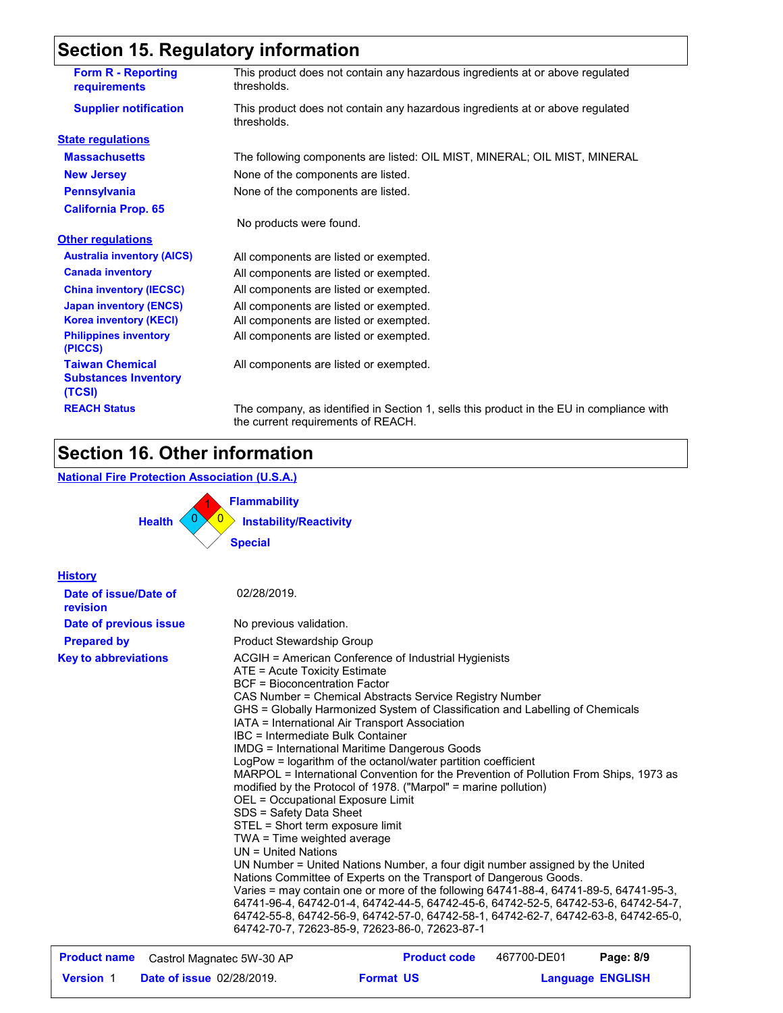## **Section 15. Regulatory information**

| <b>Form R - Reporting</b><br><b>requirements</b>                | This product does not contain any hazardous ingredients at or above regulated<br>thresholds.                                   |
|-----------------------------------------------------------------|--------------------------------------------------------------------------------------------------------------------------------|
| <b>Supplier notification</b>                                    | This product does not contain any hazardous ingredients at or above regulated<br>thresholds.                                   |
| <b>State regulations</b>                                        |                                                                                                                                |
| <b>Massachusetts</b>                                            | The following components are listed: OIL MIST, MINERAL; OIL MIST, MINERAL                                                      |
| <b>New Jersey</b>                                               | None of the components are listed.                                                                                             |
| <b>Pennsylvania</b>                                             | None of the components are listed.                                                                                             |
| <b>California Prop. 65</b>                                      |                                                                                                                                |
|                                                                 | No products were found.                                                                                                        |
| <b>Other regulations</b>                                        |                                                                                                                                |
| <b>Australia inventory (AICS)</b>                               | All components are listed or exempted.                                                                                         |
| <b>Canada inventory</b>                                         | All components are listed or exempted.                                                                                         |
| <b>China inventory (IECSC)</b>                                  | All components are listed or exempted.                                                                                         |
| <b>Japan inventory (ENCS)</b>                                   | All components are listed or exempted.                                                                                         |
| <b>Korea inventory (KECI)</b>                                   | All components are listed or exempted.                                                                                         |
| <b>Philippines inventory</b><br>(PICCS)                         | All components are listed or exempted.                                                                                         |
| <b>Taiwan Chemical</b><br><b>Substances Inventory</b><br>(TCSI) | All components are listed or exempted.                                                                                         |
| <b>REACH Status</b>                                             | The company, as identified in Section 1, sells this product in the EU in compliance with<br>the current requirements of REACH. |

### **Section 16. Other information**

### **National Fire Protection Association (U.S.A.)**



| <b>History</b>                    |                                                                                                                                                                                                                                                                                                                                                                                                                                                                                                                                                                                                                                                                                                                                                                                                                                                                                                                                                                                                                                                                                                                                                                                                                                                                                  |
|-----------------------------------|----------------------------------------------------------------------------------------------------------------------------------------------------------------------------------------------------------------------------------------------------------------------------------------------------------------------------------------------------------------------------------------------------------------------------------------------------------------------------------------------------------------------------------------------------------------------------------------------------------------------------------------------------------------------------------------------------------------------------------------------------------------------------------------------------------------------------------------------------------------------------------------------------------------------------------------------------------------------------------------------------------------------------------------------------------------------------------------------------------------------------------------------------------------------------------------------------------------------------------------------------------------------------------|
| Date of issue/Date of<br>revision | 02/28/2019.                                                                                                                                                                                                                                                                                                                                                                                                                                                                                                                                                                                                                                                                                                                                                                                                                                                                                                                                                                                                                                                                                                                                                                                                                                                                      |
| Date of previous issue            | No previous validation.                                                                                                                                                                                                                                                                                                                                                                                                                                                                                                                                                                                                                                                                                                                                                                                                                                                                                                                                                                                                                                                                                                                                                                                                                                                          |
| <b>Prepared by</b>                | <b>Product Stewardship Group</b>                                                                                                                                                                                                                                                                                                                                                                                                                                                                                                                                                                                                                                                                                                                                                                                                                                                                                                                                                                                                                                                                                                                                                                                                                                                 |
| <b>Key to abbreviations</b>       | ACGIH = American Conference of Industrial Hygienists<br>ATE = Acute Toxicity Estimate<br>BCF = Bioconcentration Factor<br>CAS Number = Chemical Abstracts Service Registry Number<br>GHS = Globally Harmonized System of Classification and Labelling of Chemicals<br>IATA = International Air Transport Association<br>IBC = Intermediate Bulk Container<br>IMDG = International Maritime Dangerous Goods<br>LogPow = logarithm of the octanol/water partition coefficient<br>MARPOL = International Convention for the Prevention of Pollution From Ships, 1973 as<br>modified by the Protocol of 1978. ("Marpol" = marine pollution)<br>OEL = Occupational Exposure Limit<br>SDS = Safety Data Sheet<br>STEL = Short term exposure limit<br>TWA = Time weighted average<br>UN = United Nations<br>UN Number = United Nations Number, a four digit number assigned by the United<br>Nations Committee of Experts on the Transport of Dangerous Goods.<br>Varies = may contain one or more of the following 64741-88-4, 64741-89-5, 64741-95-3,<br>64741-96-4, 64742-01-4, 64742-44-5, 64742-45-6, 64742-52-5, 64742-53-6, 64742-54-7,<br>64742-55-8, 64742-56-9, 64742-57-0, 64742-58-1, 64742-62-7, 64742-63-8, 64742-65-0,<br>64742-70-7, 72623-85-9, 72623-86-0, 72623-87-1 |
| <b>Product name</b>               | 467700-DE01<br><b>Product code</b><br>Page: 8/9<br>Castrol Magnatec 5W-30 AP                                                                                                                                                                                                                                                                                                                                                                                                                                                                                                                                                                                                                                                                                                                                                                                                                                                                                                                                                                                                                                                                                                                                                                                                     |

| <b>Product name</b> | Castrol Magnatec 5W-30 AP        |                  | <b>Product code</b> | 467700-DE01             | Page: 8/9 |  |
|---------------------|----------------------------------|------------------|---------------------|-------------------------|-----------|--|
| <b>Version 1</b>    | <b>Date of issue 02/28/2019.</b> | <b>Format US</b> |                     | <b>Language ENGLISH</b> |           |  |